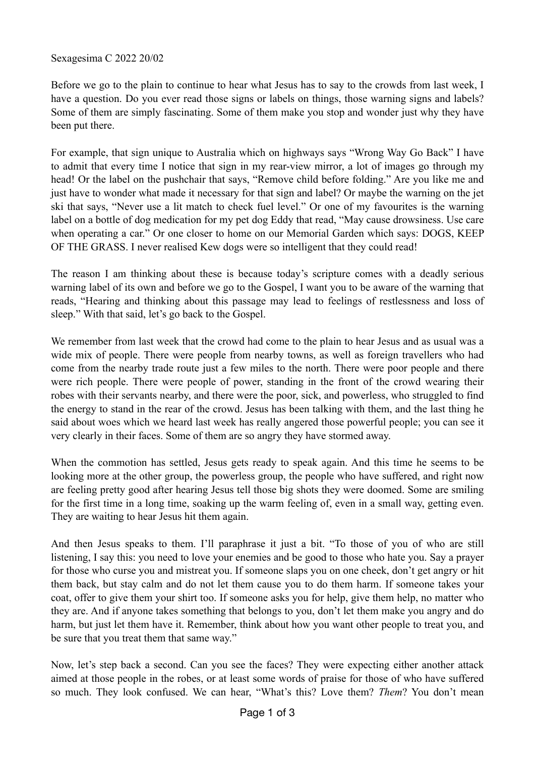Sexagesima C 2022 20/02

Before we go to the plain to continue to hear what Jesus has to say to the crowds from last week, I have a question. Do you ever read those signs or labels on things, those warning signs and labels? Some of them are simply fascinating. Some of them make you stop and wonder just why they have been put there.

For example, that sign unique to Australia which on highways says "Wrong Way Go Back" I have to admit that every time I notice that sign in my rear-view mirror, a lot of images go through my head! Or the label on the pushchair that says, "Remove child before folding." Are you like me and just have to wonder what made it necessary for that sign and label? Or maybe the warning on the jet ski that says, "Never use a lit match to check fuel level." Or one of my favourites is the warning label on a bottle of dog medication for my pet dog Eddy that read, "May cause drowsiness. Use care when operating a car." Or one closer to home on our Memorial Garden which says: DOGS, KEEP OF THE GRASS. I never realised Kew dogs were so intelligent that they could read!

The reason I am thinking about these is because today's scripture comes with a deadly serious warning label of its own and before we go to the Gospel, I want you to be aware of the warning that reads, "Hearing and thinking about this passage may lead to feelings of restlessness and loss of sleep." With that said, let's go back to the Gospel.

We remember from last week that the crowd had come to the plain to hear Jesus and as usual was a wide mix of people. There were people from nearby towns, as well as foreign travellers who had come from the nearby trade route just a few miles to the north. There were poor people and there were rich people. There were people of power, standing in the front of the crowd wearing their robes with their servants nearby, and there were the poor, sick, and powerless, who struggled to find the energy to stand in the rear of the crowd. Jesus has been talking with them, and the last thing he said about woes which we heard last week has really angered those powerful people; you can see it very clearly in their faces. Some of them are so angry they have stormed away.

When the commotion has settled, Jesus gets ready to speak again. And this time he seems to be looking more at the other group, the powerless group, the people who have suffered, and right now are feeling pretty good after hearing Jesus tell those big shots they were doomed. Some are smiling for the first time in a long time, soaking up the warm feeling of, even in a small way, getting even. They are waiting to hear Jesus hit them again.

And then Jesus speaks to them. I'll paraphrase it just a bit. "To those of you of who are still listening, I say this: you need to love your enemies and be good to those who hate you. Say a prayer for those who curse you and mistreat you. If someone slaps you on one cheek, don't get angry or hit them back, but stay calm and do not let them cause you to do them harm. If someone takes your coat, offer to give them your shirt too. If someone asks you for help, give them help, no matter who they are. And if anyone takes something that belongs to you, don't let them make you angry and do harm, but just let them have it. Remember, think about how you want other people to treat you, and be sure that you treat them that same way."

Now, let's step back a second. Can you see the faces? They were expecting either another attack aimed at those people in the robes, or at least some words of praise for those of who have suffered so much. They look confused. We can hear, "What's this? Love them? *Them*? You don't mean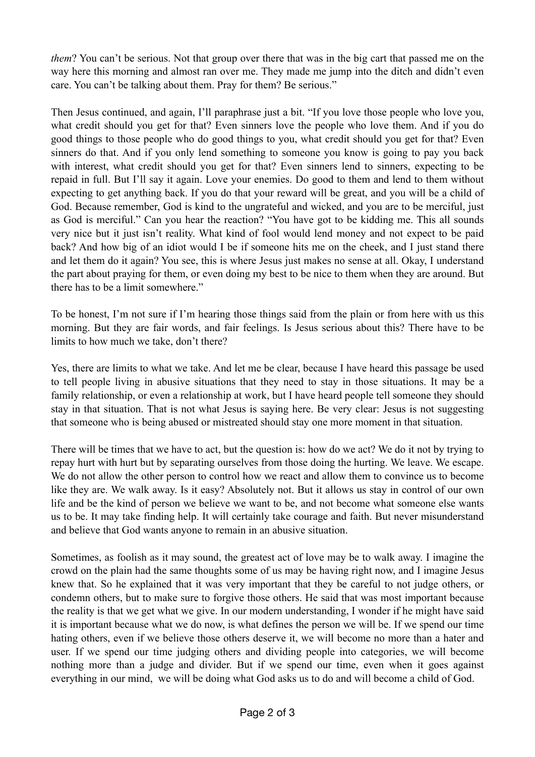*them*? You can't be serious. Not that group over there that was in the big cart that passed me on the way here this morning and almost ran over me. They made me jump into the ditch and didn't even care. You can't be talking about them. Pray for them? Be serious."

Then Jesus continued, and again, I'll paraphrase just a bit. "If you love those people who love you, what credit should you get for that? Even sinners love the people who love them. And if you do good things to those people who do good things to you, what credit should you get for that? Even sinners do that. And if you only lend something to someone you know is going to pay you back with interest, what credit should you get for that? Even sinners lend to sinners, expecting to be repaid in full. But I'll say it again. Love your enemies. Do good to them and lend to them without expecting to get anything back. If you do that your reward will be great, and you will be a child of God. Because remember, God is kind to the ungrateful and wicked, and you are to be merciful, just as God is merciful." Can you hear the reaction? "You have got to be kidding me. This all sounds very nice but it just isn't reality. What kind of fool would lend money and not expect to be paid back? And how big of an idiot would I be if someone hits me on the cheek, and I just stand there and let them do it again? You see, this is where Jesus just makes no sense at all. Okay, I understand the part about praying for them, or even doing my best to be nice to them when they are around. But there has to be a limit somewhere."

To be honest, I'm not sure if I'm hearing those things said from the plain or from here with us this morning. But they are fair words, and fair feelings. Is Jesus serious about this? There have to be limits to how much we take, don't there?

Yes, there are limits to what we take. And let me be clear, because I have heard this passage be used to tell people living in abusive situations that they need to stay in those situations. It may be a family relationship, or even a relationship at work, but I have heard people tell someone they should stay in that situation. That is not what Jesus is saying here. Be very clear: Jesus is not suggesting that someone who is being abused or mistreated should stay one more moment in that situation.

There will be times that we have to act, but the question is: how do we act? We do it not by trying to repay hurt with hurt but by separating ourselves from those doing the hurting. We leave. We escape. We do not allow the other person to control how we react and allow them to convince us to become like they are. We walk away. Is it easy? Absolutely not. But it allows us stay in control of our own life and be the kind of person we believe we want to be, and not become what someone else wants us to be. It may take finding help. It will certainly take courage and faith. But never misunderstand and believe that God wants anyone to remain in an abusive situation.

Sometimes, as foolish as it may sound, the greatest act of love may be to walk away. I imagine the crowd on the plain had the same thoughts some of us may be having right now, and I imagine Jesus knew that. So he explained that it was very important that they be careful to not judge others, or condemn others, but to make sure to forgive those others. He said that was most important because the reality is that we get what we give. In our modern understanding, I wonder if he might have said it is important because what we do now, is what defines the person we will be. If we spend our time hating others, even if we believe those others deserve it, we will become no more than a hater and user. If we spend our time judging others and dividing people into categories, we will become nothing more than a judge and divider. But if we spend our time, even when it goes against everything in our mind, we will be doing what God asks us to do and will become a child of God.